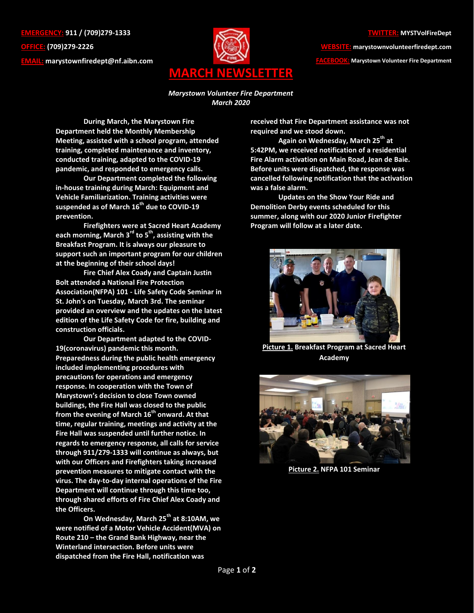**EMERGENCY: 911 / (709)279-1333 OFFICE: (709)279-2226 EMAIL: [marystownfiredept@nf.aibn.com](mailto:marystownfiredept@nf.aibn.com)**



**WEBSITE: marystownvolunteerfiredept.com** 

**FACEBOOK: Marystown Volunteer Fire Department**

*Marystown Volunteer Fire Department March 2020*

**During March, the Marystown Fire Department held the Monthly Membership Meeting, assisted with a school program, attended training, completed maintenance and inventory, conducted training, adapted to the COVID-19 pandemic, and responded to emergency calls.**

**Our Department completed the following in-house training during March: Equipment and Vehicle Familiarization. Training activities were suspended as of March 16th due to COVID-19 prevention.**

**Firefighters were at Sacred Heart Academy each morning, March 3rd to 5th, assisting with the Breakfast Program. It is always our pleasure to support such an important program for our children at the beginning of their school days!** 

**Fire Chief Alex Coady and Captain Justin Bolt attended a National Fire Protection Association(NFPA) 101 - Life Safety Code Seminar in St. John's on Tuesday, March 3rd. The seminar provided an overview and the updates on the latest edition of the Life Safety Code for fire, building and construction officials.**

**Our Department adapted to the COVID-19(coronavirus) pandemic this month. Preparedness during the public health emergency included implementing procedures with precautions for operations and emergency response. In cooperation with the Town of Marystown's decision to close Town owned buildings, the Fire Hall was closed to the public from the evening of March 16th onward. At that time, regular training, meetings and activity at the Fire Hall was suspended until further notice. In regards to emergency response, all calls for service through 911/279-1333 will continue as always, but with our Officers and Firefighters taking increased prevention measures to mitigate contact with the virus. The day-to-day internal operations of the Fire Department will continue through this time too, through shared efforts of Fire Chief Alex Coady and the Officers.**

**On Wednesday, March 25th at 8:10AM, we were notified of a Motor Vehicle Accident(MVA) on Route 210 – the Grand Bank Highway, near the Winterland intersection. Before units were dispatched from the Fire Hall, notification was** 

**received that Fire Department assistance was not required and we stood down.** 

**Again on Wednesday, March 25th at 5:42PM, we received notification of a residential Fire Alarm activation on Main Road, Jean de Baie. Before units were dispatched, the response was cancelled following notification that the activation was a false alarm.** 

**Updates on the Show Your Ride and Demolition Derby events scheduled for this summer, along with our 2020 Junior Firefighter Program will follow at a later date.**



**Picture 1. Breakfast Program at Sacred Heart Academy**



**Picture 2. NFPA 101 Seminar**